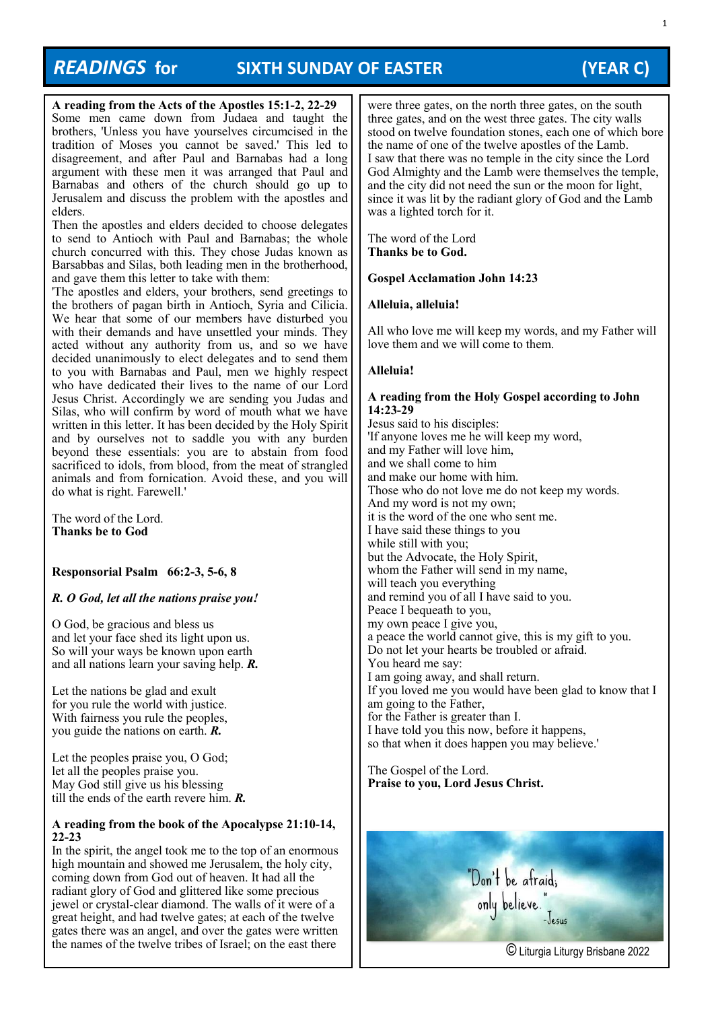# *READINGS* **for SIXTH SUNDAY OF EASTER (YEAR C)**

**A reading from the Acts of the Apostles 15:1-2, 22-29**  Some men came down from Judaea and taught the brothers, 'Unless you have yourselves circumcised in the tradition of Moses you cannot be saved.' This led to disagreement, and after Paul and Barnabas had a long argument with these men it was arranged that Paul and Barnabas and others of the church should go up to Jerusalem and discuss the problem with the apostles and elders.

Then the apostles and elders decided to choose delegates to send to Antioch with Paul and Barnabas; the whole church concurred with this. They chose Judas known as Barsabbas and Silas, both leading men in the brotherhood, and gave them this letter to take with them:

'The apostles and elders, your brothers, send greetings to the brothers of pagan birth in Antioch, Syria and Cilicia. We hear that some of our members have disturbed you with their demands and have unsettled your minds. They acted without any authority from us, and so we have decided unanimously to elect delegates and to send them to you with Barnabas and Paul, men we highly respect who have dedicated their lives to the name of our Lord Jesus Christ. Accordingly we are sending you Judas and Silas, who will confirm by word of mouth what we have written in this letter. It has been decided by the Holy Spirit and by ourselves not to saddle you with any burden beyond these essentials: you are to abstain from food sacrificed to idols, from blood, from the meat of strangled animals and from fornication. Avoid these, and you will do what is right. Farewell.'

The word of the Lord. **Thanks be to God**

## **Responsorial Psalm 66:2-3, 5-6, 8**

## *R. O God, let all the nations praise you!*

O God, be gracious and bless us and let your face shed its light upon us. So will your ways be known upon earth and all nations learn your saving help. *R.*

Let the nations be glad and exult for you rule the world with justice. With fairness you rule the peoples, you guide the nations on earth. *R.*

Let the peoples praise you, O God; let all the peoples praise you. May God still give us his blessing till the ends of the earth revere him. *R.*

## **A reading from the book of the Apocalypse 21:10-14, 22-23**

In the spirit, the angel took me to the top of an enormous high mountain and showed me Jerusalem, the holy city, coming down from God out of heaven. It had all the radiant glory of God and glittered like some precious jewel or crystal-clear diamond. The walls of it were of a great height, and had twelve gates; at each of the twelve gates there was an angel, and over the gates were written

were three gates, on the north three gates, on the south three gates, and on the west three gates. The city walls stood on twelve foundation stones, each one of which bore the name of one of the twelve apostles of the Lamb. I saw that there was no temple in the city since the Lord God Almighty and the Lamb were themselves the temple, and the city did not need the sun or the moon for light, since it was lit by the radiant glory of God and the Lamb was a lighted torch for it.

The word of the Lord **Thanks be to God.**

## **Gospel Acclamation John 14:23**

## **Alleluia, alleluia!**

All who love me will keep my words, and my Father will love them and we will come to them.

## **Alleluia!**

## **A reading from the Holy Gospel according to John 14:23-29**

Jesus said to his disciples: 'If anyone loves me he will keep my word, and my Father will love him, and we shall come to him and make our home with him. Those who do not love me do not keep my words. And my word is not my own; it is the word of the one who sent me. I have said these things to you while still with you; but the Advocate, the Holy Spirit, whom the Father will send in my name, will teach you everything and remind you of all I have said to you. Peace I bequeath to you, my own peace I give you, a peace the world cannot give, this is my gift to you. Do not let your hearts be troubled or afraid. You heard me say: I am going away, and shall return. If you loved me you would have been glad to know that I am going to the Father, for the Father is greater than I. I have told you this now, before it happens, so that when it does happen you may believe.'

The Gospel of the Lord. **Praise to you, Lord Jesus Christ.**